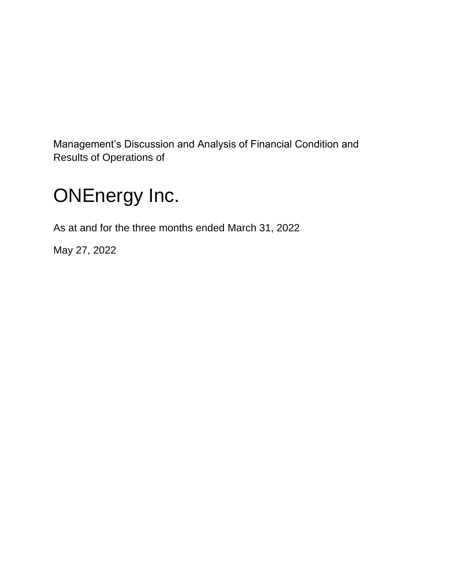Management's Discussion and Analysis of Financial Condition and Results of Operations of

# ONEnergy Inc.

As at and for the three months ended March 31, 2022

May 27, 2022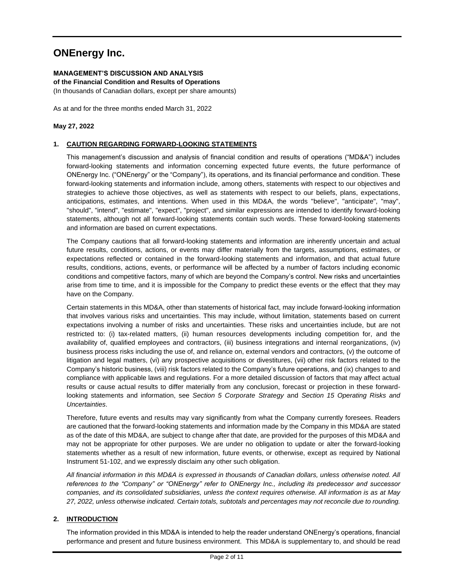# **ONEnergy Inc.**

# **MANAGEMENT'S DISCUSSION AND ANALYSIS**

**of the Financial Condition and Results of Operations**

(In thousands of Canadian dollars, except per share amounts)

As at and for the three months ended March 31, 2022

# **May 27, 2022**

# **1. CAUTION REGARDING FORWARD-LOOKING STATEMENTS**

This management's discussion and analysis of financial condition and results of operations ("MD&A") includes forward-looking statements and information concerning expected future events, the future performance of ONEnergy Inc. ("ONEnergy" or the "Company"), its operations, and its financial performance and condition. These forward-looking statements and information include, among others, statements with respect to our objectives and strategies to achieve those objectives, as well as statements with respect to our beliefs, plans, expectations, anticipations, estimates, and intentions. When used in this MD&A, the words "believe", "anticipate", "may", "should", "intend", "estimate", "expect", "project", and similar expressions are intended to identify forward-looking statements, although not all forward-looking statements contain such words. These forward-looking statements and information are based on current expectations.

The Company cautions that all forward-looking statements and information are inherently uncertain and actual future results, conditions, actions, or events may differ materially from the targets, assumptions, estimates, or expectations reflected or contained in the forward-looking statements and information, and that actual future results, conditions, actions, events, or performance will be affected by a number of factors including economic conditions and competitive factors, many of which are beyond the Company's control. New risks and uncertainties arise from time to time, and it is impossible for the Company to predict these events or the effect that they may have on the Company.

Certain statements in this MD&A, other than statements of historical fact, may include forward-looking information that involves various risks and uncertainties. This may include, without limitation, statements based on current expectations involving a number of risks and uncertainties. These risks and uncertainties include, but are not restricted to: (i) tax-related matters, (ii) human resources developments including competition for, and the availability of, qualified employees and contractors, (iii) business integrations and internal reorganizations, (iv) business process risks including the use of, and reliance on, external vendors and contractors, (v) the outcome of litigation and legal matters, (vi) any prospective acquisitions or divestitures, (vii) other risk factors related to the Company's historic business, (viii) risk factors related to the Company's future operations, and (ix) changes to and compliance with applicable laws and regulations. For a more detailed discussion of factors that may affect actual results or cause actual results to differ materially from any conclusion, forecast or projection in these forwardlooking statements and information, see *Section 5 Corporate Strategy* and *Section 15 Operating Risks and Uncertainties*.

Therefore, future events and results may vary significantly from what the Company currently foresees. Readers are cautioned that the forward-looking statements and information made by the Company in this MD&A are stated as of the date of this MD&A, are subject to change after that date, are provided for the purposes of this MD&A and may not be appropriate for other purposes. We are under no obligation to update or alter the forward-looking statements whether as a result of new information, future events, or otherwise, except as required by National Instrument 51-102, and we expressly disclaim any other such obligation.

*All financial information in this MD&A is expressed in thousands of Canadian dollars, unless otherwise noted. All references to the "Company" or "ONEnergy" refer to ONEnergy Inc., including its predecessor and successor companies, and its consolidated subsidiaries, unless the context requires otherwise. All information is as at May 27, 2022, unless otherwise indicated. Certain totals, subtotals and percentages may not reconcile due to rounding.*

# **2. INTRODUCTION**

The information provided in this MD&A is intended to help the reader understand ONEnergy's operations, financial performance and present and future business environment. This MD&A is supplementary to, and should be read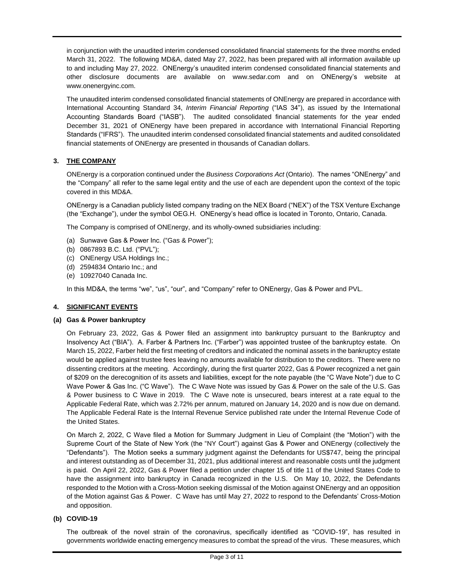in conjunction with the unaudited interim condensed consolidated financial statements for the three months ended March 31, 2022. The following MD&A, dated May 27, 2022, has been prepared with all information available up to and including May 27, 2022. ONEnergy's unaudited interim condensed consolidated financial statements and other disclosure documents are available on www.sedar.com and on ONEnergy's website at www.onenergyinc.com.

The unaudited interim condensed consolidated financial statements of ONEnergy are prepared in accordance with International Accounting Standard 34, *Interim Financial Reporting* ("IAS 34"), as issued by the International Accounting Standards Board ("IASB"). The audited consolidated financial statements for the year ended December 31, 2021 of ONEnergy have been prepared in accordance with International Financial Reporting Standards ("IFRS"). The unaudited interim condensed consolidated financial statements and audited consolidated financial statements of ONEnergy are presented in thousands of Canadian dollars.

# **3. THE COMPANY**

ONEnergy is a corporation continued under the *Business Corporations Act* (Ontario). The names "ONEnergy" and the "Company" all refer to the same legal entity and the use of each are dependent upon the context of the topic covered in this MD&A.

ONEnergy is a Canadian publicly listed company trading on the NEX Board ("NEX") of the TSX Venture Exchange (the "Exchange"), under the symbol OEG.H. ONEnergy's head office is located in Toronto, Ontario, Canada.

The Company is comprised of ONEnergy, and its wholly-owned subsidiaries including:

- (a) Sunwave Gas & Power Inc. ("Gas & Power");
- (b) 0867893 B.C. Ltd. ("PVL");
- (c) ONEnergy USA Holdings Inc.;
- (d) 2594834 Ontario Inc.; and
- (e) 10927040 Canada Inc.

In this MD&A, the terms "we", "us", "our", and "Company" refer to ONEnergy, Gas & Power and PVL.

## **4. SIGNIFICANT EVENTS**

#### **(a) Gas & Power bankruptcy**

On February 23, 2022, Gas & Power filed an assignment into bankruptcy pursuant to the Bankruptcy and Insolvency Act ("BIA"). A. Farber & Partners Inc. ("Farber") was appointed trustee of the bankruptcy estate. On March 15, 2022, Farber held the first meeting of creditors and indicated the nominal assets in the bankruptcy estate would be applied against trustee fees leaving no amounts available for distribution to the creditors. There were no dissenting creditors at the meeting. Accordingly, during the first quarter 2022, Gas & Power recognized a net gain of \$209 on the derecognition of its assets and liabilities, except for the note payable (the "C Wave Note") due to C Wave Power & Gas Inc. ("C Wave"). The C Wave Note was issued by Gas & Power on the sale of the U.S. Gas & Power business to C Wave in 2019. The C Wave note is unsecured, bears interest at a rate equal to the Applicable Federal Rate, which was 2.72% per annum, matured on January 14, 2020 and is now due on demand. The Applicable Federal Rate is the Internal Revenue Service published rate under the Internal Revenue Code of the United States.

On March 2, 2022, C Wave filed a Motion for Summary Judgment in Lieu of Complaint (the "Motion") with the Supreme Court of the State of New York (the "NY Court") against Gas & Power and ONEnergy (collectively the "Defendants"). The Motion seeks a summary judgment against the Defendants for US\$747, being the principal and interest outstanding as of December 31, 2021, plus additional interest and reasonable costs until the judgment is paid. On April 22, 2022, Gas & Power filed a petition under chapter 15 of title 11 of the United States Code to have the assignment into bankruptcy in Canada recognized in the U.S. On May 10, 2022, the Defendants responded to the Motion with a Cross-Motion seeking dismissal of the Motion against ONEnergy and an opposition of the Motion against Gas & Power. C Wave has until May 27, 2022 to respond to the Defendants' Cross-Motion and opposition.

## **(b) COVID-19**

The outbreak of the novel strain of the coronavirus, specifically identified as "COVID-19", has resulted in governments worldwide enacting emergency measures to combat the spread of the virus. These measures, which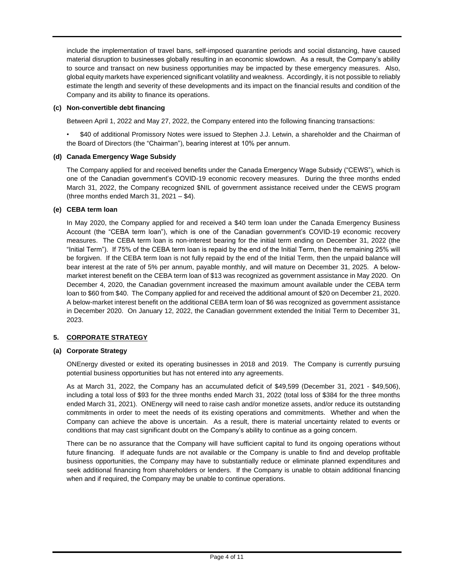include the implementation of travel bans, self-imposed quarantine periods and social distancing, have caused material disruption to businesses globally resulting in an economic slowdown. As a result, the Company's ability to source and transact on new business opportunities may be impacted by these emergency measures. Also, global equity markets have experienced significant volatility and weakness. Accordingly, it is not possible to reliably estimate the length and severity of these developments and its impact on the financial results and condition of the Company and its ability to finance its operations.

# **(c) Non-convertible debt financing**

Between April 1, 2022 and May 27, 2022, the Company entered into the following financing transactions:

• \$40 of additional Promissory Notes were issued to Stephen J.J. Letwin, a shareholder and the Chairman of the Board of Directors (the "Chairman"), bearing interest at 10% per annum.

## **(d) Canada Emergency Wage Subsidy**

The Company applied for and received benefits under the Canada Emergency Wage Subsidy ("CEWS"), which is one of the Canadian government's COVID-19 economic recovery measures. During the three months ended March 31, 2022, the Company recognized \$NIL of government assistance received under the CEWS program (three months ended March 31,  $2021 - $4$ ).

## **(e) CEBA term loan**

In May 2020, the Company applied for and received a \$40 term loan under the Canada Emergency Business Account (the "CEBA term loan"), which is one of the Canadian government's COVID-19 economic recovery measures. The CEBA term loan is non-interest bearing for the initial term ending on December 31, 2022 (the "Initial Term"). If 75% of the CEBA term loan is repaid by the end of the Initial Term, then the remaining 25% will be forgiven. If the CEBA term loan is not fully repaid by the end of the Initial Term, then the unpaid balance will bear interest at the rate of 5% per annum, payable monthly, and will mature on December 31, 2025. A belowmarket interest benefit on the CEBA term loan of \$13 was recognized as government assistance in May 2020. On December 4, 2020, the Canadian government increased the maximum amount available under the CEBA term loan to \$60 from \$40. The Company applied for and received the additional amount of \$20 on December 21, 2020. A below-market interest benefit on the additional CEBA term loan of \$6 was recognized as government assistance in December 2020. On January 12, 2022, the Canadian government extended the Initial Term to December 31, 2023.

## **5. CORPORATE STRATEGY**

## **(a) Corporate Strategy**

ONEnergy divested or exited its operating businesses in 2018 and 2019. The Company is currently pursuing potential business opportunities but has not entered into any agreements.

As at March 31, 2022, the Company has an accumulated deficit of \$49,599 (December 31, 2021 - \$49,506), including a total loss of \$93 for the three months ended March 31, 2022 (total loss of \$384 for the three months ended March 31, 2021). ONEnergy will need to raise cash and/or monetize assets, and/or reduce its outstanding commitments in order to meet the needs of its existing operations and commitments. Whether and when the Company can achieve the above is uncertain. As a result, there is material uncertainty related to events or conditions that may cast significant doubt on the Company's ability to continue as a going concern.

There can be no assurance that the Company will have sufficient capital to fund its ongoing operations without future financing. If adequate funds are not available or the Company is unable to find and develop profitable business opportunities, the Company may have to substantially reduce or eliminate planned expenditures and seek additional financing from shareholders or lenders. If the Company is unable to obtain additional financing when and if required, the Company may be unable to continue operations.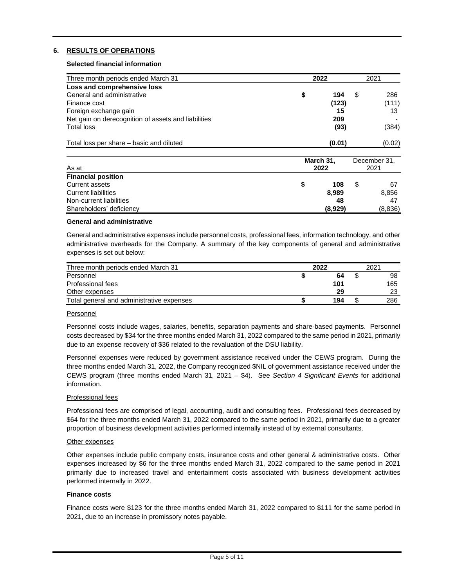# **6. RESULTS OF OPERATIONS**

#### **Selected financial information**

| Three month periods ended March 31                  | 2022 |        |   | 2021   |
|-----------------------------------------------------|------|--------|---|--------|
| Loss and comprehensive loss                         |      |        |   |        |
| General and administrative                          | S    | 194    | S | 286    |
| Finance cost                                        |      | (123)  |   | (111)  |
| Foreign exchange gain                               |      | 15     |   | 13     |
| Net gain on derecognition of assets and liabilities |      | 209    |   |        |
| <b>Total loss</b>                                   |      | (93)   |   | (384)  |
| Total loss per share – basic and diluted            |      | (0.01) |   | (0.02) |

| As at                      | March 31,<br>2022 |  |         |  |  |
|----------------------------|-------------------|--|---------|--|--|
| <b>Financial position</b>  |                   |  |         |  |  |
| Current assets             | 108               |  | 67      |  |  |
| <b>Current liabilities</b> | 8,989             |  | 8,856   |  |  |
| Non-current liabilities    | 48                |  | 47      |  |  |
| Shareholders' deficiency   | (8,929)           |  | (8,836) |  |  |

#### **General and administrative**

General and administrative expenses include personnel costs, professional fees, information technology, and other administrative overheads for the Company. A summary of the key components of general and administrative expenses is set out below:

| Three month periods ended March 31        | 2022 | 2021 |
|-------------------------------------------|------|------|
| Personnel                                 | 64   | 98   |
| Professional fees                         | 101  | 165  |
| Other expenses                            | 29   | 23   |
| Total general and administrative expenses | 194  | 286  |

#### Personnel

Personnel costs include wages, salaries, benefits, separation payments and share-based payments. Personnel costs decreased by \$34 for the three months ended March 31, 2022 compared to the same period in 2021, primarily due to an expense recovery of \$36 related to the revaluation of the DSU liability.

Personnel expenses were reduced by government assistance received under the CEWS program. During the three months ended March 31, 2022, the Company recognized \$NIL of government assistance received under the CEWS program (three months ended March 31, 2021 – \$4). See *Section 4 Significant Events* for additional information.

## Professional fees

Professional fees are comprised of legal, accounting, audit and consulting fees. Professional fees decreased by \$64 for the three months ended March 31, 2022 compared to the same period in 2021, primarily due to a greater proportion of business development activities performed internally instead of by external consultants.

#### Other expenses

Other expenses include public company costs, insurance costs and other general & administrative costs. Other expenses increased by \$6 for the three months ended March 31, 2022 compared to the same period in 2021 primarily due to increased travel and entertainment costs associated with business development activities performed internally in 2022.

#### **Finance costs**

Finance costs were \$123 for the three months ended March 31, 2022 compared to \$111 for the same period in 2021, due to an increase in promissory notes payable.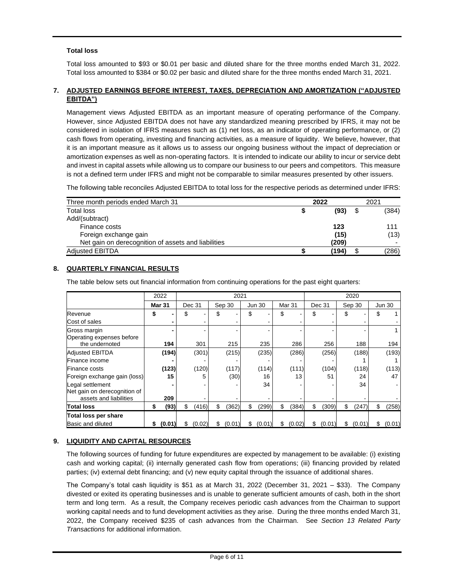# **Total loss**

Total loss amounted to \$93 or \$0.01 per basic and diluted share for the three months ended March 31, 2022. Total loss amounted to \$384 or \$0.02 per basic and diluted share for the three months ended March 31, 2021.

#### **7. ADJUSTED EARNINGS BEFORE INTEREST, TAXES, DEPRECIATION AND AMORTIZATION ("ADJUSTED EBITDA")**

Management views Adjusted EBITDA as an important measure of operating performance of the Company. However, since Adjusted EBITDA does not have any standardized meaning prescribed by IFRS, it may not be considered in isolation of IFRS measures such as (1) net loss, as an indicator of operating performance, or (2) cash flows from operating, investing and financing activities, as a measure of liquidity. We believe, however, that it is an important measure as it allows us to assess our ongoing business without the impact of depreciation or amortization expenses as well as non-operating factors. It is intended to indicate our ability to incur or service debt and invest in capital assets while allowing us to compare our business to our peers and competitors. This measure is not a defined term under IFRS and might not be comparable to similar measures presented by other issuers.

The following table reconciles Adjusted EBITDA to total loss for the respective periods as determined under IFRS:

| Three month periods ended March 31                  | 2022  | 2021  |
|-----------------------------------------------------|-------|-------|
| Total loss                                          | (93)  | (384) |
| Add/(subtract)                                      |       |       |
| Finance costs                                       | 123   | 111   |
| Foreign exchange gain                               | (15)  | (13)  |
| Net gain on derecognition of assets and liabilities | (209) |       |
| <b>Adjusted EBITDA</b>                              | (194) | (286) |

# **8. QUARTERLY FINANCIAL RESULTS**

The table below sets out financial information from continuing operations for the past eight quarters:

|                                                                            |    | 2022          | 2021 |        |    |        |    |        | 2020 |        |     |                   |    |               |    |        |  |        |  |  |  |        |  |  |               |  |
|----------------------------------------------------------------------------|----|---------------|------|--------|----|--------|----|--------|------|--------|-----|-------------------|----|---------------|----|--------|--|--------|--|--|--|--------|--|--|---------------|--|
|                                                                            |    | <b>Mar 31</b> |      | Dec 31 |    | Sep 30 |    |        |      |        |     | Mar <sub>31</sub> |    | <b>Jun 30</b> |    |        |  | Dec 31 |  |  |  | Sep 30 |  |  | <b>Jun 30</b> |  |
| Revenue                                                                    | S  |               | S    |        | \$ |        | S  |        | \$   |        | \$. |                   | \$ |               |    |        |  |        |  |  |  |        |  |  |               |  |
| Cost of sales                                                              |    |               |      |        |    |        |    |        |      |        |     |                   |    |               |    |        |  |        |  |  |  |        |  |  |               |  |
| Gross margin<br>Operating expenses before                                  |    |               |      |        |    |        |    |        |      |        |     |                   |    |               |    |        |  |        |  |  |  |        |  |  |               |  |
| the undernoted                                                             |    | 194           |      | 301    |    | 215    |    | 235    |      | 286    |     | 256               |    | 188           |    | 194    |  |        |  |  |  |        |  |  |               |  |
| <b>Adjusted EBITDA</b>                                                     |    | (194)         |      | (301)  |    | (215)  |    | (235)  |      | (286)  |     | (256)             |    | (188)         |    | (193)  |  |        |  |  |  |        |  |  |               |  |
| Finance income                                                             |    |               |      |        |    |        |    |        |      |        |     |                   |    |               |    |        |  |        |  |  |  |        |  |  |               |  |
| <b>Finance costs</b>                                                       |    | (123)         |      | (120)  |    | (117)  |    | (114)  |      | (111)  |     | (104)             |    | (118)         |    | (113)  |  |        |  |  |  |        |  |  |               |  |
| Foreign exchange gain (loss)                                               |    | 15            |      |        |    | (30)   |    | 16     |      | 13     |     | 51                |    | 24            |    | 47     |  |        |  |  |  |        |  |  |               |  |
| Legal settlement<br>Net gain on derecognition of<br>assets and liabilities |    | 209           |      |        |    |        |    | 34     |      |        |     |                   |    | 34            |    |        |  |        |  |  |  |        |  |  |               |  |
| <b>Total loss</b>                                                          | \$ | (93)          | \$   | (416)  | \$ | (362)  | \$ | (299)  | \$   | (384)  | \$  | (309)             | \$ | (247)         | \$ | (258)  |  |        |  |  |  |        |  |  |               |  |
| Total loss per share<br>Basic and diluted                                  |    | (0.01)        |      | (0.02) |    | (0.01) | S  | (0.01) | \$   | (0.02) | \$  | (0.01)            | \$ | (0.01)        | \$ | (0.01) |  |        |  |  |  |        |  |  |               |  |

# **9. LIQUIDITY AND CAPITAL RESOURCES**

The following sources of funding for future expenditures are expected by management to be available: (i) existing cash and working capital; (ii) internally generated cash flow from operations; (iii) financing provided by related parties; (iv) external debt financing; and (v) new equity capital through the issuance of additional shares.

The Company's total cash liquidity is \$51 as at March 31, 2022 (December 31, 2021 – \$33). The Company divested or exited its operating businesses and is unable to generate sufficient amounts of cash, both in the short term and long term. As a result, the Company receives periodic cash advances from the Chairman to support working capital needs and to fund development activities as they arise. During the three months ended March 31, 2022, the Company received \$235 of cash advances from the Chairman. See *Section 13 Related Party Transactions* for additional information.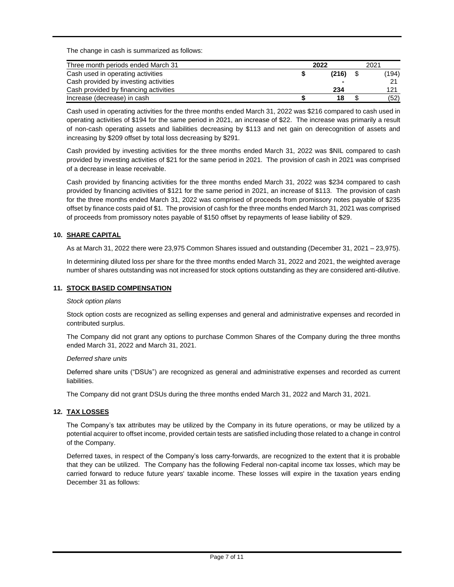The change in cash is summarized as follows:

| Three month periods ended March 31    | 2022  | 2021  |
|---------------------------------------|-------|-------|
| Cash used in operating activities     | (216) | (194) |
| Cash provided by investing activities |       |       |
| Cash provided by financing activities | 234   | 121   |
| Increase (decrease) in cash           | 18    | (52)  |

Cash used in operating activities for the three months ended March 31, 2022 was \$216 compared to cash used in operating activities of \$194 for the same period in 2021, an increase of \$22. The increase was primarily a result of non-cash operating assets and liabilities decreasing by \$113 and net gain on derecognition of assets and increasing by \$209 offset by total loss decreasing by \$291.

Cash provided by investing activities for the three months ended March 31, 2022 was \$NIL compared to cash provided by investing activities of \$21 for the same period in 2021. The provision of cash in 2021 was comprised of a decrease in lease receivable.

Cash provided by financing activities for the three months ended March 31, 2022 was \$234 compared to cash provided by financing activities of \$121 for the same period in 2021, an increase of \$113. The provision of cash for the three months ended March 31, 2022 was comprised of proceeds from promissory notes payable of \$235 offset by finance costs paid of \$1. The provision of cash for the three months ended March 31, 2021 was comprised of proceeds from promissory notes payable of \$150 offset by repayments of lease liability of \$29.

# **10. SHARE CAPITAL**

As at March 31, 2022 there were 23,975 Common Shares issued and outstanding (December 31, 2021 – 23,975).

In determining diluted loss per share for the three months ended March 31, 2022 and 2021, the weighted average number of shares outstanding was not increased for stock options outstanding as they are considered anti-dilutive.

#### **11. STOCK BASED COMPENSATION**

#### *Stock option plans*

Stock option costs are recognized as selling expenses and general and administrative expenses and recorded in contributed surplus.

The Company did not grant any options to purchase Common Shares of the Company during the three months ended March 31, 2022 and March 31, 2021.

## *Deferred share units*

Deferred share units ("DSUs") are recognized as general and administrative expenses and recorded as current liabilities.

The Company did not grant DSUs during the three months ended March 31, 2022 and March 31, 2021.

## **12. TAX LOSSES**

The Company's tax attributes may be utilized by the Company in its future operations, or may be utilized by a potential acquirer to offset income, provided certain tests are satisfied including those related to a change in control of the Company.

Deferred taxes, in respect of the Company's loss carry-forwards, are recognized to the extent that it is probable that they can be utilized. The Company has the following Federal non-capital income tax losses, which may be carried forward to reduce future years' taxable income. These losses will expire in the taxation years ending December 31 as follows: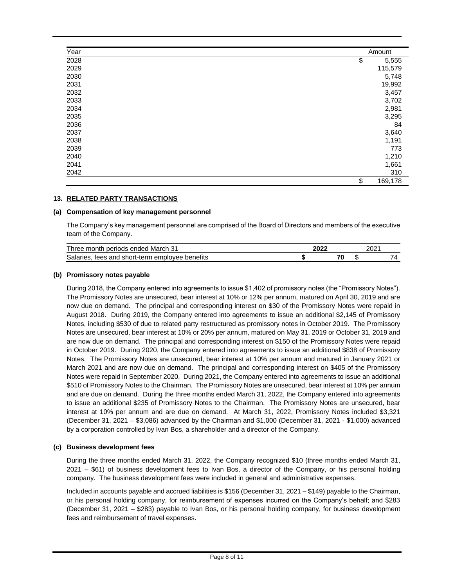| Year | Amount        |
|------|---------------|
| 2028 | \$<br>5,555   |
| 2029 | 115,579       |
| 2030 | 5,748         |
| 2031 | 19,992        |
| 2032 | 3,457         |
| 2033 | 3,702         |
| 2034 | 2,981         |
| 2035 | 3,295         |
| 2036 | 84            |
| 2037 | 3,640         |
| 2038 | 1,191         |
| 2039 | 773           |
| 2040 | 1,210         |
| 2041 | 1,661         |
| 2042 | 310           |
|      | \$<br>169,178 |

## **13. RELATED PARTY TRANSACTIONS**

#### **(a) Compensation of key management personnel**

The Company's key management personnel are comprised of the Board of Directors and members of the executive team of the Company.

| Three,<br>ົ<br>periods<br>endea<br>March 31<br>month.<br>.                  | ימה | 2001<br>∠∪∠ |   |
|-----------------------------------------------------------------------------|-----|-------------|---|
| $\cdots$<br>Salaries.<br>benefits<br>short-term<br>and<br>emplovee<br>tees. |     |             | - |

#### **(b) Promissory notes payable**

During 2018, the Company entered into agreements to issue \$1,402 of promissory notes (the "Promissory Notes"). The Promissory Notes are unsecured, bear interest at 10% or 12% per annum, matured on April 30, 2019 and are now due on demand. The principal and corresponding interest on \$30 of the Promissory Notes were repaid in August 2018. During 2019, the Company entered into agreements to issue an additional \$2,145 of Promissory Notes, including \$530 of due to related party restructured as promissory notes in October 2019. The Promissory Notes are unsecured, bear interest at 10% or 20% per annum, matured on May 31, 2019 or October 31, 2019 and are now due on demand. The principal and corresponding interest on \$150 of the Promissory Notes were repaid in October 2019. During 2020, the Company entered into agreements to issue an additional \$838 of Promissory Notes. The Promissory Notes are unsecured, bear interest at 10% per annum and matured in January 2021 or March 2021 and are now due on demand. The principal and corresponding interest on \$405 of the Promissory Notes were repaid in September 2020. During 2021, the Company entered into agreements to issue an additional \$510 of Promissory Notes to the Chairman. The Promissory Notes are unsecured, bear interest at 10% per annum and are due on demand. During the three months ended March 31, 2022, the Company entered into agreements to issue an additional \$235 of Promissory Notes to the Chairman. The Promissory Notes are unsecured, bear interest at 10% per annum and are due on demand. At March 31, 2022, Promissory Notes included \$3,321 (December 31, 2021 – \$3,086) advanced by the Chairman and \$1,000 (December 31, 2021 - \$1,000) advanced by a corporation controlled by Ivan Bos, a shareholder and a director of the Company.

#### **(c) Business development fees**

During the three months ended March 31, 2022, the Company recognized \$10 (three months ended March 31, 2021 – \$61) of business development fees to Ivan Bos, a director of the Company, or his personal holding company. The business development fees were included in general and administrative expenses.

Included in accounts payable and accrued liabilities is \$156 (December 31, 2021 – \$149) payable to the Chairman, or his personal holding company, for reimbursement of expenses incurred on the Company's behalf; and \$283 (December 31, 2021 – \$283) payable to Ivan Bos, or his personal holding company, for business development fees and reimbursement of travel expenses.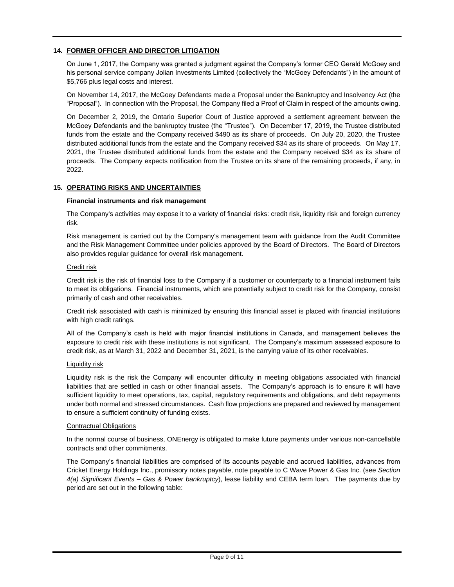# **14. FORMER OFFICER AND DIRECTOR LITIGATION**

On June 1, 2017, the Company was granted a judgment against the Company's former CEO Gerald McGoey and his personal service company Jolian Investments Limited (collectively the "McGoey Defendants") in the amount of \$5,766 plus legal costs and interest.

On November 14, 2017, the McGoey Defendants made a Proposal under the Bankruptcy and Insolvency Act (the "Proposal"). In connection with the Proposal, the Company filed a Proof of Claim in respect of the amounts owing.

On December 2, 2019, the Ontario Superior Court of Justice approved a settlement agreement between the McGoey Defendants and the bankruptcy trustee (the "Trustee"). On December 17, 2019, the Trustee distributed funds from the estate and the Company received \$490 as its share of proceeds. On July 20, 2020, the Trustee distributed additional funds from the estate and the Company received \$34 as its share of proceeds. On May 17, 2021, the Trustee distributed additional funds from the estate and the Company received \$34 as its share of proceeds. The Company expects notification from the Trustee on its share of the remaining proceeds, if any, in 2022.

## **15. OPERATING RISKS AND UNCERTAINTIES**

#### **Financial instruments and risk management**

The Company's activities may expose it to a variety of financial risks: credit risk, liquidity risk and foreign currency risk.

Risk management is carried out by the Company's management team with guidance from the Audit Committee and the Risk Management Committee under policies approved by the Board of Directors. The Board of Directors also provides regular guidance for overall risk management.

#### Credit risk

Credit risk is the risk of financial loss to the Company if a customer or counterparty to a financial instrument fails to meet its obligations. Financial instruments, which are potentially subject to credit risk for the Company, consist primarily of cash and other receivables.

Credit risk associated with cash is minimized by ensuring this financial asset is placed with financial institutions with high credit ratings.

All of the Company's cash is held with major financial institutions in Canada, and management believes the exposure to credit risk with these institutions is not significant. The Company's maximum assessed exposure to credit risk, as at March 31, 2022 and December 31, 2021, is the carrying value of its other receivables.

#### Liquidity risk

Liquidity risk is the risk the Company will encounter difficulty in meeting obligations associated with financial liabilities that are settled in cash or other financial assets. The Company's approach is to ensure it will have sufficient liquidity to meet operations, tax, capital, regulatory requirements and obligations, and debt repayments under both normal and stressed circumstances. Cash flow projections are prepared and reviewed by management to ensure a sufficient continuity of funding exists.

#### Contractual Obligations

In the normal course of business, ONEnergy is obligated to make future payments under various non-cancellable contracts and other commitments.

The Company's financial liabilities are comprised of its accounts payable and accrued liabilities, advances from Cricket Energy Holdings Inc., promissory notes payable, note payable to C Wave Power & Gas Inc. (see *Section 4(a) Significant Events – Gas & Power bankruptcy*), lease liability and CEBA term loan. The payments due by period are set out in the following table: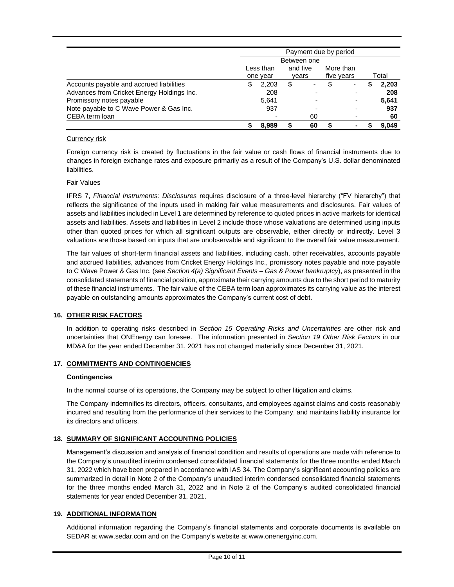|                                            | Payment due by period |           |          |             |            |                |  |       |  |  |  |
|--------------------------------------------|-----------------------|-----------|----------|-------------|------------|----------------|--|-------|--|--|--|
|                                            |                       |           |          | Between one |            |                |  |       |  |  |  |
|                                            |                       | Less than | and five |             | More than  |                |  |       |  |  |  |
|                                            |                       | one year  |          | vears       | five years |                |  | Total |  |  |  |
| Accounts payable and accrued liabilities   | S                     | 2,203     | \$       | ۰           |            |                |  | 2,203 |  |  |  |
| Advances from Cricket Energy Holdings Inc. |                       | 208       |          |             |            |                |  | 208   |  |  |  |
| Promissory notes payable                   |                       | 5.641     |          |             |            |                |  | 5,641 |  |  |  |
| Note payable to C Wave Power & Gas Inc.    |                       | 937       |          |             |            |                |  | 937   |  |  |  |
| CEBA term loan                             |                       |           |          | 60          |            |                |  | 60    |  |  |  |
|                                            |                       | 8.989     |          | 60          |            | $\blacksquare$ |  | 9.049 |  |  |  |

#### Currency risk

Foreign currency risk is created by fluctuations in the fair value or cash flows of financial instruments due to changes in foreign exchange rates and exposure primarily as a result of the Company's U.S. dollar denominated liabilities.

# Fair Values

IFRS 7, *Financial Instruments: Disclosures* requires disclosure of a three-level hierarchy ("FV hierarchy") that reflects the significance of the inputs used in making fair value measurements and disclosures. Fair values of assets and liabilities included in Level 1 are determined by reference to quoted prices in active markets for identical assets and liabilities. Assets and liabilities in Level 2 include those whose valuations are determined using inputs other than quoted prices for which all significant outputs are observable, either directly or indirectly. Level 3 valuations are those based on inputs that are unobservable and significant to the overall fair value measurement.

The fair values of short-term financial assets and liabilities, including cash, other receivables, accounts payable and accrued liabilities, advances from Cricket Energy Holdings Inc., promissory notes payable and note payable to C Wave Power & Gas Inc. (see *Section 4(a) Significant Events – Gas & Power bankruptcy*), as presented in the consolidated statements of financial position, approximate their carrying amounts due to the short period to maturity of these financial instruments. The fair value of the CEBA term loan approximates its carrying value as the interest payable on outstanding amounts approximates the Company's current cost of debt.

## **16. OTHER RISK FACTORS**

In addition to operating risks described in *Section 15 Operating Risks and Uncertainties* are other risk and uncertainties that ONEnergy can foresee. The information presented in *Section 19 Other Risk Factors* in our MD&A for the year ended December 31, 2021 has not changed materially since December 31, 2021.

## **17. COMMITMENTS AND CONTINGENCIES**

#### **Contingencies**

In the normal course of its operations, the Company may be subject to other litigation and claims.

The Company indemnifies its directors, officers, consultants, and employees against claims and costs reasonably incurred and resulting from the performance of their services to the Company, and maintains liability insurance for its directors and officers.

## **18. SUMMARY OF SIGNIFICANT ACCOUNTING POLICIES**

Management's discussion and analysis of financial condition and results of operations are made with reference to the Company's unaudited interim condensed consolidated financial statements for the three months ended March 31, 2022 which have been prepared in accordance with IAS 34. The Company's significant accounting policies are summarized in detail in Note 2 of the Company's unaudited interim condensed consolidated financial statements for the three months ended March 31, 2022 and in Note 2 of the Company's audited consolidated financial statements for year ended December 31, 2021.

## **19. ADDITIONAL INFORMATION**

Additional information regarding the Company's financial statements and corporate documents is available on SEDAR at www.sedar.com and on the Company's website at www.onenergyinc.com.